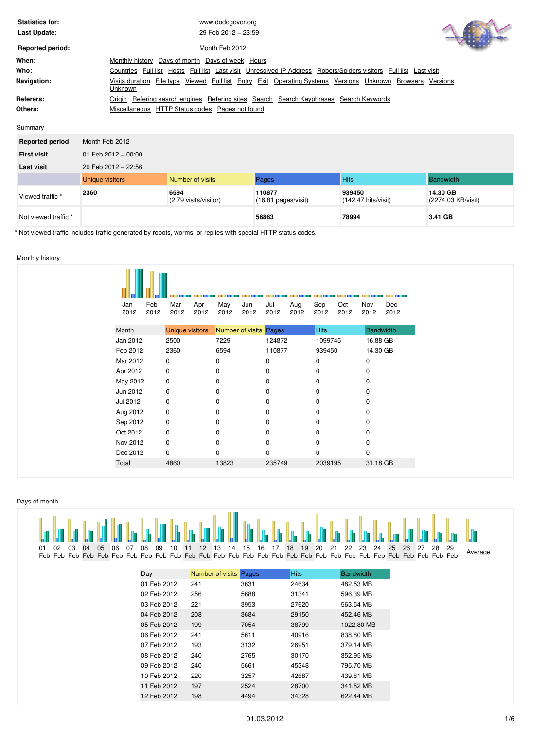| <b>Statistics for:</b><br>Last Update: | www.dodogovor.org<br>29 Feb 2012 - 23:59                                                                                                        |  |
|----------------------------------------|-------------------------------------------------------------------------------------------------------------------------------------------------|--|
| <b>Reported period:</b>                | Month Feb 2012                                                                                                                                  |  |
| When:                                  | Days of week Hours<br>Days of month<br>Monthly history                                                                                          |  |
| Who:                                   | Full list Hosts Full list Last visit Unresolved IP Address Robots/Spiders visitors Full list Last visit<br>Countries                            |  |
| Navigation:                            | <u>Viewed Full list Entry Exit Operating Systems Versions Unknown Browsers Versions</u><br>Visits duration File type<br><b>Unknown</b>          |  |
| Referers:<br>Others:                   | Refering search engines Refering sites Search Search Keyphrases Search Keywords<br>Origin<br>Miscellaneous HTTP Status codes<br>Pages not found |  |

Summary

| <b>Reported period</b> | Month Feb 2012         |                               |                                         |                                         |                                |  |  |  |  |  |  |
|------------------------|------------------------|-------------------------------|-----------------------------------------|-----------------------------------------|--------------------------------|--|--|--|--|--|--|
| <b>First visit</b>     | 01 Feb 2012 - 00:00    |                               |                                         |                                         |                                |  |  |  |  |  |  |
| <b>Last visit</b>      | 29 Feb 2012 - 22:56    |                               |                                         |                                         |                                |  |  |  |  |  |  |
|                        | <b>Unique visitors</b> | Number of visits              | Pages                                   | <b>Hits</b>                             | <b>Bandwidth</b>               |  |  |  |  |  |  |
| Viewed traffic *       | 2360                   | 6594<br>(2.79 visits/visitor) | 110877<br>$(16.81 \text{ pages/visit})$ | 939450<br>$(142.47 \text{ hits/visit})$ | 14.30 GB<br>(2274.03 KB/visit) |  |  |  |  |  |  |
| Not viewed traffic *   |                        |                               | 56863                                   | 78994                                   | 3.41 GB                        |  |  |  |  |  |  |

\* Not viewed traffic includes traffic generated by robots, worms, or replies with special HTTP status codes.

# <span id="page-0-0"></span>Monthly history

| Jan<br>2012 | Feb<br>2012 | Mar<br>2012            | Apr<br>2012 | May<br>2012 | Jun<br>2012            | Jul<br>2012 | Aug<br>2012 | Sep<br>2012 | Oct<br>2012 | Nov<br>2012 | Dec<br>2012 |
|-------------|-------------|------------------------|-------------|-------------|------------------------|-------------|-------------|-------------|-------------|-------------|-------------|
| Month       |             | <b>Unique visitors</b> |             |             | Number of visits Pages |             |             | Hits        |             | Bandwidth   |             |
| Jan 2012    |             | 2500                   |             | 7229        |                        | 124872      |             | 1099745     |             | 16.88 GB    |             |
| Feb 2012    |             | 2360                   |             | 6594        |                        | 110877      |             | 939450      |             | 14.30 GB    |             |
| Mar 2012    |             | 0                      |             | $\mathbf 0$ |                        | 0           |             | 0           |             | $\mathbf 0$ |             |
| Apr 2012    |             | $\pmb{0}$              |             | $\mathbf 0$ |                        | 0           |             | 0           |             | 0           |             |
| May 2012    |             | 0                      |             | 0           |                        | 0           |             | 0           |             | 0           |             |
| Jun 2012    |             | 0                      |             | 0           |                        | $\mathbf 0$ |             | 0           |             | 0           |             |
| Jul 2012    |             | 0                      |             | 0           |                        | 0           |             | 0           |             | 0           |             |
| Aug 2012    |             | $\pmb{0}$              |             | 0           |                        | 0           |             | 0           |             | 0           |             |
| Sep 2012    |             | 0                      |             | 0           |                        | 0           |             | 0           |             | 0           |             |
| Oct 2012    |             | 0                      |             | 0           |                        | $\Omega$    |             | 0           |             | $\Omega$    |             |
| Nov 2012    |             | 0                      |             | 0           |                        | 0           |             | 0           |             | 0           |             |
| Dec 2012    |             | 0                      |             | 0           |                        | $\mathbf 0$ |             | 0           |             | 0           |             |
| Total       |             | 4860                   |             | 13823       |                        | 235749      |             | 2039195     |             | 31.18 GB    |             |
|             |             |                        |             |             |                        |             |             |             |             |             |             |

# <span id="page-0-1"></span>Days of month

| 01 02 03 04 05 06 07 08 09 10 11 12 13 14 15 16 17 18 19 20 21 22 23 24 25 26 27 28 29 |  |  |  |  |  |  |  |  |  |  |  |  |  |  |  | the better to tal bit to be bit to to to be bill to be to be to be better to be the better to be better better |
|----------------------------------------------------------------------------------------|--|--|--|--|--|--|--|--|--|--|--|--|--|--|--|----------------------------------------------------------------------------------------------------------------|
|                                                                                        |  |  |  |  |  |  |  |  |  |  |  |  |  |  |  | Average                                                                                                        |

| Day         | Number of visits | Pages | <b>Hits</b> | <b>Bandwidth</b> |
|-------------|------------------|-------|-------------|------------------|
| 01 Feb 2012 | 241              | 3631  | 24634       | 482.53 MB        |
| 02 Feb 2012 | 256              | 5688  | 31341       | 596.39 MB        |
| 03 Feb 2012 | 221              | 3953  | 27620       | 563.54 MB        |
| 04 Feb 2012 | 208              | 3684  | 29150       | 452.46 MB        |
| 05 Feb 2012 | 199              | 7054  | 38799       | 1022.80 MB       |
| 06 Feb 2012 | 241              | 5611  | 40916       | 838.80 MB        |
| 07 Feb 2012 | 193              | 3132  | 26951       | 379.14 MB        |
| 08 Feb 2012 | 240              | 2765  | 30170       | 352.95 MB        |
| 09 Feb 2012 | 240              | 5661  | 45348       | 795.70 MB        |
| 10 Feb 2012 | 220              | 3257  | 42687       | 439.81 MB        |
| 11 Feb 2012 | 197              | 2524  | 28700       | 341.52 MB        |
| 12 Feb 2012 | 198              | 4494  | 34328       | 622.44 MB        |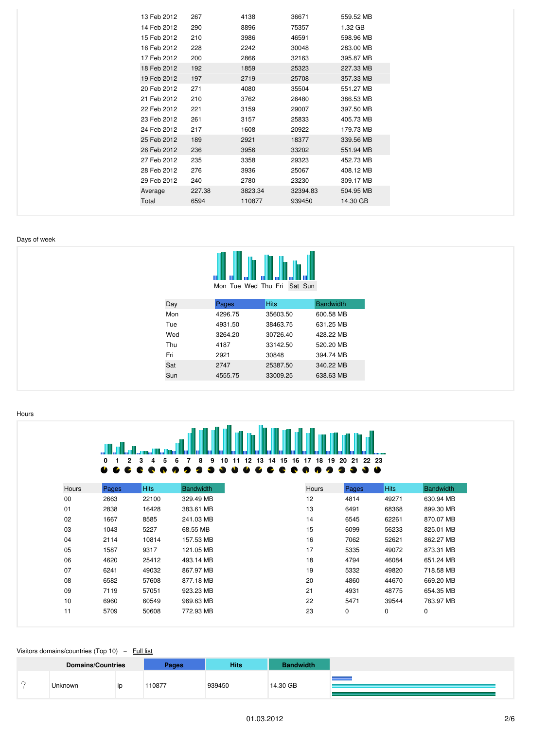| 13 Feb 2012 | 267    | 4138    | 36671    | 559.52 MB |
|-------------|--------|---------|----------|-----------|
| 14 Feb 2012 | 290    | 8896    | 75357    | 1.32 GB   |
| 15 Feb 2012 | 210    | 3986    | 46591    | 598.96 MB |
| 16 Feb 2012 | 228    | 2242    | 30048    | 283.00 MB |
| 17 Feb 2012 | 200    | 2866    | 32163    | 395.87 MB |
| 18 Feb 2012 | 192    | 1859    | 25323    | 227.33 MB |
| 19 Feb 2012 | 197    | 2719    | 25708    | 357.33 MB |
| 20 Feb 2012 | 271    | 4080    | 35504    | 551.27 MB |
| 21 Feb 2012 | 210    | 3762    | 26480    | 386.53 MB |
| 22 Feb 2012 | 221    | 3159    | 29007    | 397.50 MB |
| 23 Feb 2012 | 261    | 3157    | 25833    | 405.73 MB |
| 24 Feb 2012 | 217    | 1608    | 20922    | 179.73 MB |
| 25 Feb 2012 | 189    | 2921    | 18377    | 339.56 MB |
| 26 Feb 2012 | 236    | 3956    | 33202    | 551.94 MB |
| 27 Feb 2012 | 235    | 3358    | 29323    | 452.73 MB |
| 28 Feb 2012 | 276    | 3936    | 25067    | 408.12 MB |
| 29 Feb 2012 | 240    | 2780    | 23230    | 309.17 MB |
| Average     | 227.38 | 3823.34 | 32394.83 | 504.95 MB |
| Total       | 6594   | 110877  | 939450   | 14.30 GB  |
|             |        |         |          |           |

### <span id="page-1-0"></span>Days of week



| Day | Pages   | <b>Hits</b> | <b>Bandwidth</b> |
|-----|---------|-------------|------------------|
| Mon | 4296.75 | 35603.50    | 600.58 MB        |
| Tue | 4931.50 | 38463.75    | 631.25 MB        |
| Wed | 3264.20 | 30726.40    | 428.22 MB        |
| Thu | 4187    | 33142.50    | 520.20 MB        |
| Fri | 2921    | 30848       | 394.74 MB        |
| Sat | 2747    | 25387.50    | 340.22 MB        |
| Sun | 4555.75 | 33009.25    | 638.63 MB        |

<span id="page-1-1"></span>Hours

|       | 0<br>2<br>≝<br>E. | з<br>5<br>4 | 8<br>9<br>10<br>6 | 13<br>12<br>14<br>15<br>11<br>ш | 16<br>19<br>17<br>18<br>是<br>毎 | 22 23<br>20<br>21<br>● ●<br>æ |             |                  |
|-------|-------------------|-------------|-------------------|---------------------------------|--------------------------------|-------------------------------|-------------|------------------|
|       |                   |             |                   |                                 |                                |                               |             |                  |
| Hours | Pages             | <b>Hits</b> | <b>Bandwidth</b>  |                                 | Hours                          | Pages                         | <b>Hits</b> | <b>Bandwidth</b> |
| 00    | 2663              | 22100       | 329.49 MB         |                                 | 12                             | 4814                          | 49271       | 630.94 MB        |
| 01    | 2838              | 16428       | 383.61 MB         |                                 | 13                             | 6491                          | 68368       | 899.30 MB        |
| 02    | 1667              | 8585        | 241.03 MB         |                                 | 14                             | 6545                          | 62261       | 870.07 MB        |
| 03    | 1043              | 5227        | 68.55 MB          |                                 | 15                             | 6099                          | 56233       | 825.01 MB        |
| 04    | 2114              | 10814       | 157.53 MB         |                                 | 16                             | 7062                          | 52621       | 862.27 MB        |
| 05    | 1587              | 9317        | 121.05 MB         |                                 | 17                             | 5335                          | 49072       | 873.31 MB        |
| 06    | 4620              | 25412       | 493.14 MB         |                                 | 18                             | 4794                          | 46084       | 651.24 MB        |
| 07    | 6241              | 49032       | 867.97 MB         |                                 | 19                             | 5332                          | 49820       | 718.58 MB        |
| 08    | 6582              | 57608       | 877.18 MB         |                                 | 20                             | 4860                          | 44670       | 669.20 MB        |
| 09    | 7119              | 57051       | 923.23 MB         |                                 | 21                             | 4931                          | 48775       | 654.35 MB        |
| 10    | 6960              | 60549       | 969.63 MB         |                                 | 22                             | 5471                          | 39544       | 783.97 MB        |
| 11    | 5709              | 50608       | 772.93 MB         |                                 | 23                             | 0                             | 0           | 0                |

## <span id="page-1-2"></span>Visitors domains/countries (Top 10) - Full list

| <b>Domains/Countries</b> | Pages | <b>Hits</b> | <b>Bandwidth</b> |
|--------------------------|-------|-------------|------------------|
| Unknown                  | 10877 | 939450      | 14.30 GB         |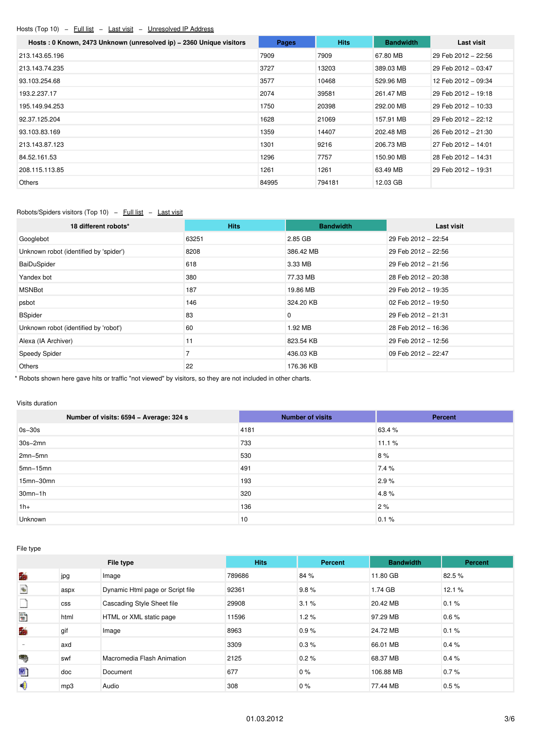# <span id="page-2-0"></span>Hosts (Top 10) - Full list - Last visit - Unresolved IP Address

| Hosts: 0 Known, 2473 Unknown (unresolved ip) - 2360 Unique visitors | Pages | <b>Hits</b> | <b>Bandwidth</b> | Last visit          |
|---------------------------------------------------------------------|-------|-------------|------------------|---------------------|
| 213.143.65.196                                                      | 7909  | 7909        | 67.80 MB         | 29 Feb 2012 - 22:56 |
| 213.143.74.235                                                      | 3727  | 13203       | 389.03 MB        | 29 Feb 2012 - 03:47 |
| 93.103.254.68                                                       | 3577  | 10468       | 529.96 MB        | 12 Feb 2012 - 09:34 |
| 193.2.237.17                                                        | 2074  | 39581       | 261.47 MB        | 29 Feb 2012 - 19:18 |
| 195.149.94.253                                                      | 1750  | 20398       | 292.00 MB        | 29 Feb 2012 - 10:33 |
| 92.37.125.204                                                       | 1628  | 21069       | 157.91 MB        | 29 Feb 2012 - 22:12 |
| 93.103.83.169                                                       | 1359  | 14407       | 202.48 MB        | 26 Feb 2012 - 21:30 |
| 213.143.87.123                                                      | 1301  | 9216        | 206.73 MB        | 27 Feb 2012 - 14:01 |
| 84.52.161.53                                                        | 1296  | 7757        | 150.90 MB        | 28 Feb 2012 - 14:31 |
| 208.115.113.85                                                      | 1261  | 1261        | 63.49 MB         | 29 Feb 2012 - 19:31 |
| <b>Others</b>                                                       | 84995 | 794181      | 12.03 GB         |                     |

# <span id="page-2-1"></span>Robots/Spiders visitors (Top 10) - Full list - Last visit

| 18 different robots*                   | <b>Hits</b> | <b>Bandwidth</b> | <b>Last visit</b>   |
|----------------------------------------|-------------|------------------|---------------------|
| Googlebot                              | 63251       | 2.85 GB          | 29 Feb 2012 - 22:54 |
| Unknown robot (identified by 'spider') | 8208        | 386.42 MB        | 29 Feb 2012 - 22:56 |
| BaiDuSpider                            | 618         | 3.33 MB          | 29 Feb 2012 - 21:56 |
| Yandex bot                             | 380         | 77.33 MB         | 28 Feb 2012 - 20:38 |
| <b>MSNBot</b>                          | 187         | 19.86 MB         | 29 Feb 2012 - 19:35 |
| psbot                                  | 146         | 324.20 KB        | 02 Feb 2012 - 19:50 |
| <b>BSpider</b>                         | 83          | 0                | 29 Feb 2012 - 21:31 |
| Unknown robot (identified by 'robot')  | 60          | 1.92 MB          | 28 Feb 2012 - 16:36 |
| Alexa (IA Archiver)                    | 11          | 823.54 KB        | 29 Feb 2012 - 12:56 |
| Speedy Spider                          |             | 436.03 KB        | 09 Feb 2012 - 22:47 |
| Others                                 | 22          | 176.36 KB        |                     |

\* Robots shown here gave hits or traffic "not viewed" by visitors, so they are not included in other charts.

### <span id="page-2-2"></span>Visits duration

| Number of visits: 6594 - Average: 324 s | <b>Number of visits</b> | Percent |
|-----------------------------------------|-------------------------|---------|
| $0s-30s$                                | 4181                    | 63.4 %  |
| $30s - 2mn$                             | 733                     | 11.1%   |
| $2mn-5mn$                               | 530                     | 8%      |
| $5mn-15mn$                              | 491                     | 7.4 %   |
| 15mn-30mn                               | 193                     | 2.9%    |
| $30mn-1h$                               | 320                     | 4.8%    |
| $1h+$                                   | 136                     | 2%      |
| Unknown                                 | 10                      | 0.1%    |

<span id="page-2-3"></span>File type

|                                       |            | File type                        | <b>Hits</b> | Percent | <b>Bandwidth</b> | Percent |
|---------------------------------------|------------|----------------------------------|-------------|---------|------------------|---------|
| 酶                                     | jpg        | Image                            | 789686      | 84 %    | 11.80 GB         | 82.5 %  |
| $\begin{matrix} \Phi \\ \end{matrix}$ | aspx       | Dynamic Html page or Script file | 92361       | 9.8%    | 1.74 GB          | 12.1%   |
|                                       | <b>CSS</b> | Cascading Style Sheet file       | 29908       | 3.1%    | 20.42 MB         | 0.1%    |
| 围                                     | html       | HTML or XML static page          | 11596       | 1.2%    | 97.29 MB         | 0.6%    |
| 酶                                     | gif        | Image                            | 8963        | 0.9%    | 24.72 MB         | 0.1%    |
|                                       | axd        |                                  | 3309        | 0.3%    | 66.01 MB         | 0.4%    |
| ۰                                     | swf        | Macromedia Flash Animation       | 2125        | 0.2%    | 68.37 MB         | 0.4%    |
| 圈                                     | doc        | Document                         | 677         | $0\%$   | 106.88 MB        | 0.7%    |
| ♦                                     | mp3        | Audio                            | 308         | $0\%$   | 77.44 MB         | 0.5%    |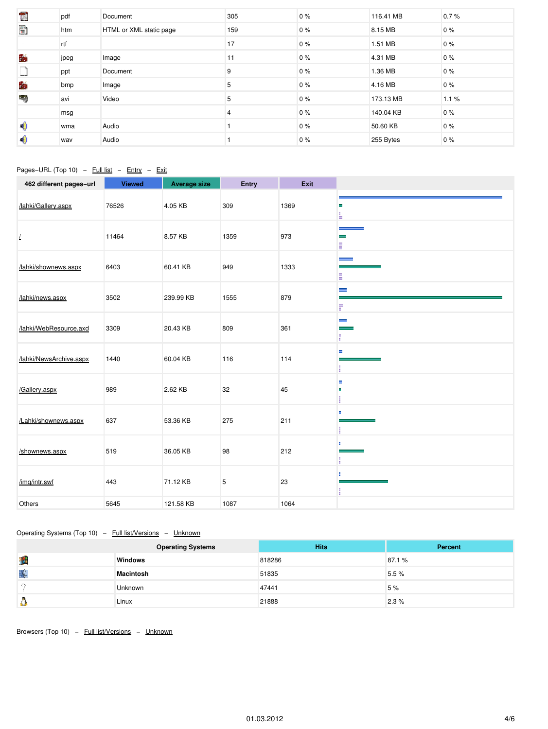| time.<br>List | pdf  | Document                | 305 | $0\%$ | 116.41 MB | 0.7% |
|---------------|------|-------------------------|-----|-------|-----------|------|
| $\mathbb{R}$  | htm  | HTML or XML static page | 159 | $0\%$ | 8.15 MB   | 0%   |
| $\sim$        | rtf  |                         | 17  | $0\%$ | 1.51 MB   | 0%   |
| 酶             | jpeg | Image                   | 11  | $0\%$ | 4.31 MB   | 0%   |
|               | ppt  | Document                | 9   | $0\%$ | 1.36 MB   | 0%   |
| 酶             | bmp  | Image                   | 5   | $0\%$ | 4.16 MB   | 0%   |
| ٣             | avi  | Video                   | 5   | $0\%$ | 173.13 MB | 1.1% |
|               | msg  |                         | 4   | $0\%$ | 140.04 KB | 0%   |
| ◀             | wma  | Audio                   |     | $0\%$ | 50.60 KB  | 0%   |
| 4,            | wav  | Audio                   |     | $0\%$ | 255 Bytes | 0%   |

# <span id="page-3-0"></span>Pages-URL (Top 10) - Full list - Entry - Exit

| 462 different pages-url | <b>Viewed</b> | <b>Average size</b> | Entry | Exit |                                           |
|-------------------------|---------------|---------------------|-------|------|-------------------------------------------|
| /lahki/Gallery.aspx     | 76526         | 4.05 KB             | 309   | 1369 | ×.<br>÷.                                  |
| $\sqrt{2}$              | 11464         | 8.57 KB             | 1359  | 973  | $\equiv$<br>E                             |
| /lahki/shownews.aspx    | 6403          | 60.41 KB            | 949   | 1333 | المستحدة<br>E                             |
| /lahki/news.aspx        | 3502          | 239.99 KB           | 1555  | 879  | $\equiv$<br>F                             |
| /lahki/WebResource.axd  | 3309          | 20.43 KB            | 809   | 361  | $\equiv$<br>$\overline{\phantom{a}}$<br>F |
| /lahki/NewsArchive.aspx | 1440          | 60.04 KB            | 116   | 114  | н                                         |
| /Gallery.aspx           | 989           | 2.62 KB             | 32    | 45   | н<br>п<br>п                               |
| /Lahki/shownews.aspx    | 637           | 53.36 KB            | 275   | 211  | E<br>п<br>E.                              |
| /shownews.aspx          | 519           | 36.05 KB            | 98    | 212  | в                                         |
| /img/intr.swf           | 443           | 71.12 KB            | 5     | 23   | п<br>ŧ                                    |
| Others                  | 5645          | 121.58 KB           | 1087  | 1064 |                                           |

# <span id="page-3-1"></span>Operating Systems (Top 10) - Full list/Versions - Unknown

|   | <b>Operating Systems</b> | <b>Hits</b> | <b>Percent</b> |
|---|--------------------------|-------------|----------------|
| 囲 | <b>Windows</b>           | 818286      | 87.1%          |
| ¥ | <b>Macintosh</b>         | 51835       | 5.5%           |
|   | <b>Unknown</b>           | 47441       | 5 %            |
|   | Linux                    | 21888       | 2.3%           |

<span id="page-3-2"></span>Browsers (Top 10) - Full list/Versions - Unknown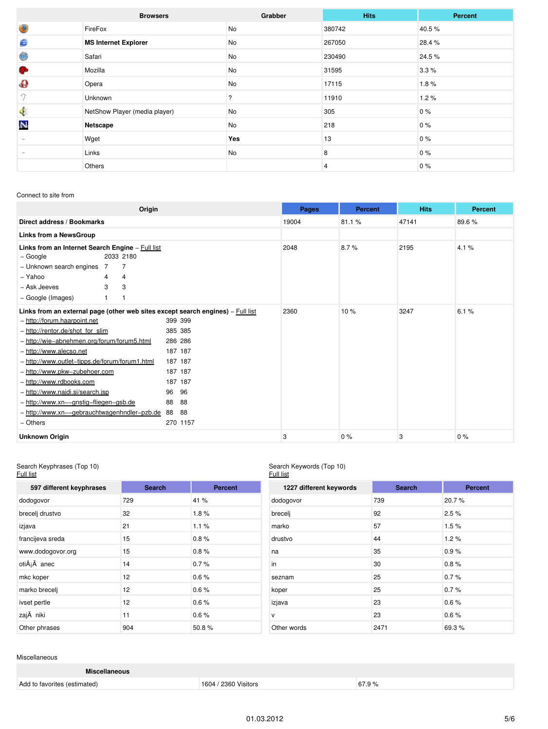|                   | <b>Browsers</b>               | Grabber | <b>Hits</b> | Percent |
|-------------------|-------------------------------|---------|-------------|---------|
| 4                 | FireFox                       | No      | 380742      | 40.5%   |
| €                 | <b>MS Internet Explorer</b>   | No      | 267050      | 28.4 %  |
| 6                 | Safari                        | No      | 230490      | 24.5 %  |
| G.                | Mozilla                       | No      | 31595       | 3.3%    |
| $\mathbf{\Theta}$ | Opera                         | No      | 17115       | 1.8%    |
| 9                 | Unknown                       | ?       | 11910       | 1.2%    |
| $\bullet$         | NetShow Player (media player) | No      | 305         | $0\%$   |
| N                 | Netscape                      | No      | 218         | 0%      |
|                   | Wget                          | Yes     | 13          | 0%      |
|                   | Links                         | No      | 8           | $0\%$   |
|                   | Others                        |         | 4           | $0\%$   |

## <span id="page-4-0"></span>Connect to site from

| Origin                                                                                                                                                                                                                                                                                                                                                                                                                                                                                                                                                                                                              | Pages | <b>Percent</b> | <b>Hits</b> | <b>Percent</b> |
|---------------------------------------------------------------------------------------------------------------------------------------------------------------------------------------------------------------------------------------------------------------------------------------------------------------------------------------------------------------------------------------------------------------------------------------------------------------------------------------------------------------------------------------------------------------------------------------------------------------------|-------|----------------|-------------|----------------|
| Direct address / Bookmarks                                                                                                                                                                                                                                                                                                                                                                                                                                                                                                                                                                                          | 19004 | 81.1%          | 47141       | 89.6%          |
| Links from a NewsGroup                                                                                                                                                                                                                                                                                                                                                                                                                                                                                                                                                                                              |       |                |             |                |
| Links from an Internet Search Engine - Full list<br>– Google<br>2033 2180<br>- Unknown search engines 7<br>7<br>- Yahoo<br>4<br>4<br>3<br>3<br>- Ask Jeeves<br>- Google (Images)                                                                                                                                                                                                                                                                                                                                                                                                                                    | 2048  | 8.7%           | 2195        | 4.1%           |
| Links from an external page (other web sites except search engines) - Full list<br>- http://forum.haarpoint.net<br>399 399<br>385 385<br>- http://rentor.de/shot_for_slim<br>- http://wie-abnehmen.org/forum/forum5.html<br>286 286<br>187 187<br>- http://www.alecso.net<br>- http://www.outlet-tipps.de/forum/forum1.html<br>187 187<br>187 187<br>- http://www.pkw-zubehoer.com<br>187 187<br>- http://www.rdbooks.com<br>96<br>- http://www.najdi.si/search.jsp<br>96<br>88<br>88<br>- http://www.xn--gnstig-fliegen-gsb.de<br>- http://www.xn--gebrauchtwagenhndler-pzb.de<br>88<br>88<br>- Others<br>270 1157 | 2360  | 10%            | 3247        | 6.1%           |
| <b>Unknown Origin</b>                                                                                                                                                                                                                                                                                                                                                                                                                                                                                                                                                                                               | 3     | 0%             | 3           | 0%             |

#### <span id="page-4-1"></span>Search Keyphrases (Top 10) Full list

#### Search Keywords (Top 10) Full list

| 597 different keyphrases | <b>Search</b> | <b>Percent</b> |      |
|--------------------------|---------------|----------------|------|
| dodogovor                | 729           | 41 %           | do   |
| brecelj drustvo          | 32            | 1.8%           | bre  |
| izjava                   | 21            | 1.1%           | ma   |
| francijeva sreda         | 15            | 0.8%           | dru  |
| www.dodogovor.org        | 15            | 0.8%           | na   |
| otiÅ <sub>i</sub> Ä anec | 14            | 0.7%           | in   |
| mkc koper                | 12            | 0.6%           | sez  |
| marko brecelj            | 12            | 0.6%           | kor  |
| ivset pertle             | 12            | 0.6%           | izja |
| zajÄ niki                | 11            | 0.6%           | v    |
| Other phrases            | 904           | 50.8%          | Otl  |

| 1227 different keywords | <b>Search</b> | <b>Percent</b> |
|-------------------------|---------------|----------------|
| dodogovor               | 739           | 20.7%          |
| brecelj                 | 92            | 2.5%           |
| marko                   | 57            | 1.5%           |
| drustvo                 | 44            | 1.2%           |
| na                      | 35            | 0.9%           |
| in.                     | 30            | 0.8%           |
| seznam                  | 25            | 0.7%           |
| koper                   | 25            | 0.7%           |
| izjava                  | 23            | 0.6%           |
| $\mathsf{v}$            | 23            | 0.6%           |
| Other words             | 2471          | 69.3%          |

## <span id="page-4-2"></span>Miscellaneous

| <b>Miscellaneous</b>         |                      |       |
|------------------------------|----------------------|-------|
| Add to favorites (estimated) | 1604 / 2360 Visitors | 67.9% |